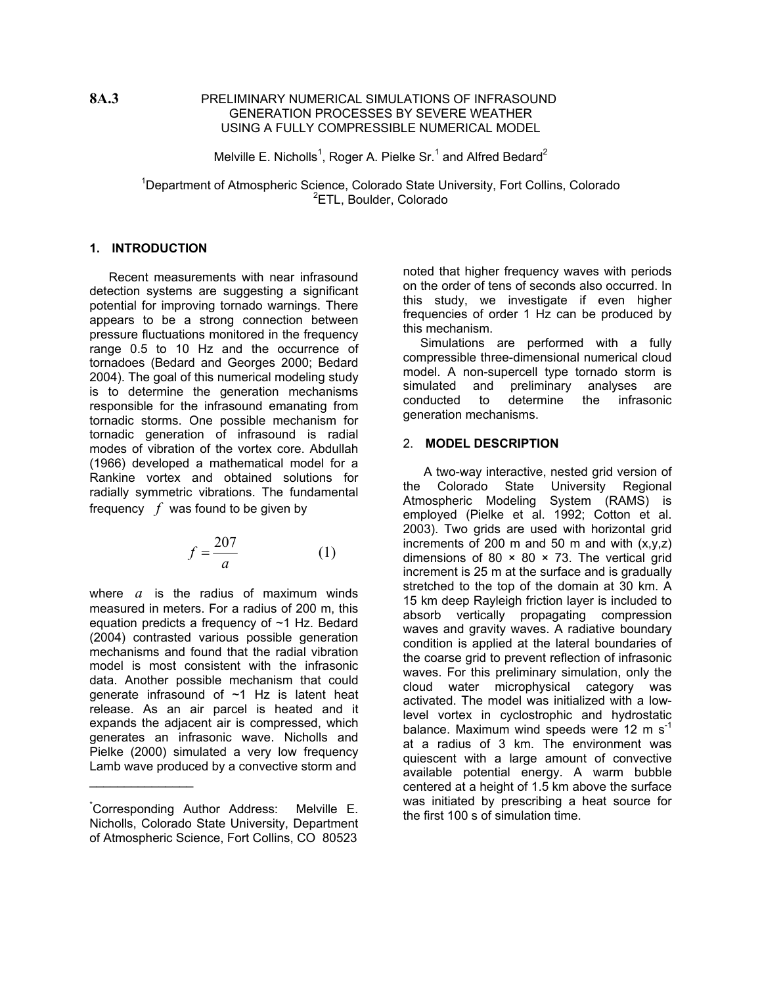### **8A.3** PRELIMINARY NUMERICAL SIMULATIONS OF INFRASOUND GENERATION PROCESSES BY SEVERE WEATHER USING A FULLY COMPRESSIBLE NUMERICAL MODEL

Melville E. Nicholls<sup>1</sup>, Roger A. Pielke Sr.<sup>1</sup> and Alfred Bedard<sup>2</sup>

<sup>1</sup>Department of Atmospheric Science, Colorado State University, Fort Collins, Colorado <sup>2</sup>ETL, Boulder, Colorado

# **1. INTRODUCTION**

 Recent measurements with near infrasound detection systems are suggesting a significant potential for improving tornado warnings. There appears to be a strong connection between pressure fluctuations monitored in the frequency range 0.5 to 10 Hz and the occurrence of tornadoes (Bedard and Georges 2000; Bedard 2004). The goal of this numerical modeling study is to determine the generation mechanisms responsible for the infrasound emanating from tornadic storms. One possible mechanism for tornadic generation of infrasound is radial modes of vibration of the vortex core. Abdullah (1966) developed a mathematical model for a Rankine vortex and obtained solutions for radially symmetric vibrations. The fundamental frequency *f* was found to be given by

$$
f = \frac{207}{a} \tag{1}
$$

where  $a$  is the radius of maximum winds measured in meters. For a radius of 200 m, this equation predicts a frequency of ~1 Hz. Bedard (2004) contrasted various possible generation mechanisms and found that the radial vibration model is most consistent with the infrasonic data. Another possible mechanism that could generate infrasound of  $\sim$ 1 Hz is latent heat release. As an air parcel is heated and it expands the adjacent air is compressed, which generates an infrasonic wave. Nicholls and Pielke (2000) simulated a very low frequency Lamb wave produced by a convective storm and

 $\overline{\phantom{a}}$  , where  $\overline{\phantom{a}}$ 

noted that higher frequency waves with periods on the order of tens of seconds also occurred. In this study, we investigate if even higher frequencies of order 1 Hz can be produced by this mechanism.

Simulations are performed with a fully compressible three-dimensional numerical cloud model. A non-supercell type tornado storm is simulated and preliminary analyses are<br>conducted to determine the infrasonic determine the infrasonic generation mechanisms.

### 2. **MODEL DESCRIPTION**

 A two-way interactive, nested grid version of the Colorado State University Regional Atmospheric Modeling System (RAMS) is employed (Pielke et al. 1992; Cotton et al. 2003). Two grids are used with horizontal grid increments of 200 m and 50 m and with  $(x,y,z)$ dimensions of 80  $\times$  80  $\times$  73. The vertical grid increment is 25 m at the surface and is gradually stretched to the top of the domain at 30 km. A 15 km deep Rayleigh friction layer is included to absorb vertically propagating compression waves and gravity waves. A radiative boundary condition is applied at the lateral boundaries of the coarse grid to prevent reflection of infrasonic waves. For this preliminary simulation, only the cloud water microphysical category was activated. The model was initialized with a lowlevel vortex in cyclostrophic and hydrostatic balance. Maximum wind speeds were 12 m  $s^{-1}$ at a radius of 3 km. The environment was quiescent with a large amount of convective available potential energy. A warm bubble centered at a height of 1.5 km above the surface was initiated by prescribing a heat source for the first 100 s of simulation time.

<sup>\*</sup> Corresponding Author Address: Melville E. Nicholls, Colorado State University, Department of Atmospheric Science, Fort Collins, CO 80523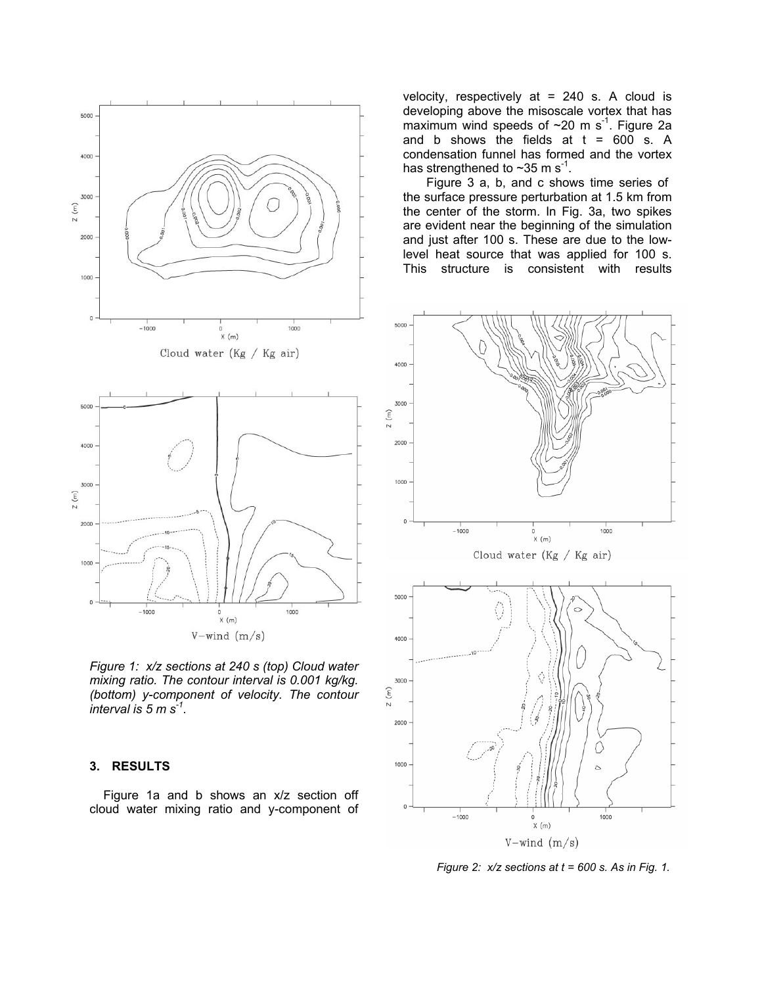

*Figure 1: x/z sections at 240 s (top) Cloud water mixing ratio. The contour interval is 0.001 kg/kg. (bottom) y-component of velocity. The contour interval is 5 m s-1.* 

# **3. RESULTS**

Figure 1a and b shows an x/z section off cloud water mixing ratio and y-component of

velocity, respectively at  $= 240$  s. A cloud is developing above the misoscale vortex that has maximum wind speeds of  $\sim$ 20 m s<sup>-1</sup>. Figure 2a and b shows the fields at  $t = 600$  s. A condensation funnel has formed and the vortex has strengthened to  $\sim$ 35 m s<sup>-1</sup>.

Figure 3 a, b, and c shows time series of the surface pressure perturbation at 1.5 km from the center of the storm. In Fig. 3a, two spikes are evident near the beginning of the simulation and just after 100 s. These are due to the lowlevel heat source that was applied for 100 s. This structure is consistent with results



*Figure 2: x/z sections at t = 600 s. As in Fig. 1.*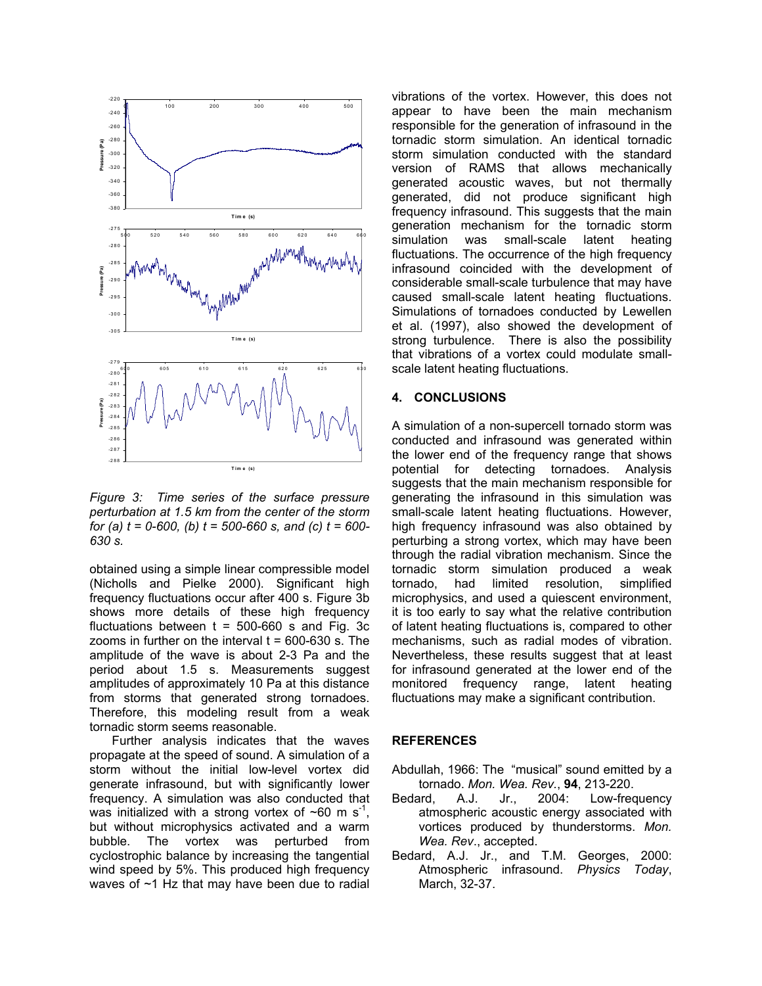

*Figure 3: Time series of the surface pressure perturbation at 1.5 km from the center of the storm for (a) t = 0-600, (b) t = 500-660 s, and (c) t = 600- 630 s.* 

obtained using a simple linear compressible model (Nicholls and Pielke 2000). Significant high frequency fluctuations occur after 400 s. Figure 3b shows more details of these high frequency fluctuations between  $t = 500-660$  s and Fig. 3c zooms in further on the interval  $t = 600-630$  s. The amplitude of the wave is about 2-3 Pa and the period about 1.5 s. Measurements suggest amplitudes of approximately 10 Pa at this distance from storms that generated strong tornadoes. Therefore, this modeling result from a weak tornadic storm seems reasonable.

Further analysis indicates that the waves pro pagate at the speed of sound. A simulation of a storm without the initial low-level vortex did generate infrasound, but with significantly lower frequency. A simulation was also conducted that was initialized with a strong vortex of  $\sim 60$  m s<sup>-1</sup>, but without microphysics activated and a warm bubble. The vortex was perturbed from cyclostrophic balance by increasing the tangential wind speed by 5%. This produced high frequency waves of  $~1$  Hz that may have been due to radial

vibrations of the vortex. However, this does not appear to have been the main mechanism responsible for the generation of infrasound in the tornadic storm simulation. An identical tornadic storm simulation conducted with the standard version of RAMS that allows mechanically generated acoustic waves, but not thermally generated, did not produce significant high frequency infrasound. This suggests that the main generation mechanism for the tornadic storm simulation was small-scale latent heating fluctuations. The occurrence of the high frequency infrasound coincided with the development of considerable small-scale turbulence that may have caused small-scale latent heating fluctuations. Simulations of tornadoes conducted by Lewellen et al. (1997), also showed the development of strong turbulence. There is also the possibility that vibrations of a vortex could modulate smallscale latent heating fluctuations.

#### **. CONCLUSIONS 4**

A simulation of a non-supercell tornado storm was conducted and infrasound was generated within the lower end of the frequency range that shows potential for detecting tornadoes. Analysis suggests that the main mechanism responsible for generating the infrasound in this simulation was small-scale latent heating fluctuations. However, high frequency infrasound was also obtained by perturbing a strong vortex, which may have been through the radial vibration mechanism. Since the tornadic storm simulation produced a weak tornado, had limited resolution, simplified microphysics, and used a quiescent environment, it is too early to say what the relative contribution of latent heating fluctuations is, compared to other mechanisms, such as radial modes of vibration. Nevertheless, these results suggest that at least for infrasound generated at the lower end of the monitored frequency range, latent heating fluctuations may make a significant contribution.

# **REFERENCES**

- Abdullah, 1966: The "musical" sound emitted by a tornado. *Mon. Wea. Rev.*, **94**, 213-220.
- Bedard, A.J. Jr., 2004: Low-frequency atmospheric acoustic energy associated with vortices produced by thunderstorms. *Mon. Wea. Rev*., accepted.
- Bedard, A.J. Jr., and T.M. Georges, 2000: Atmospheric infrasound. *Physics Today*, March, 32-37.